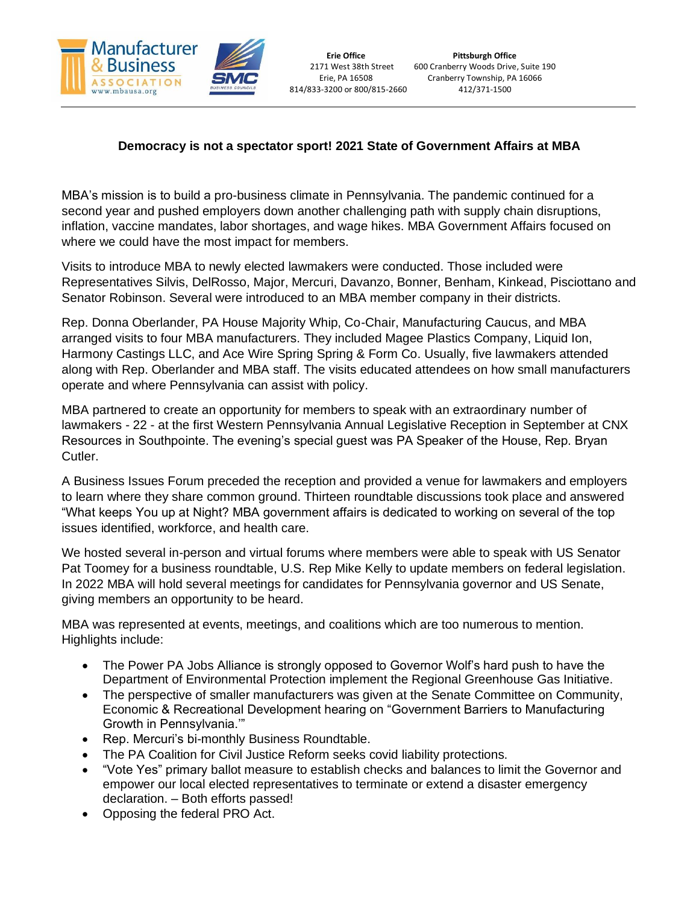

## **Democracy is not a spectator sport! 2021 State of Government Affairs at MBA**

MBA's mission is to build a pro-business climate in Pennsylvania. The pandemic continued for a second year and pushed employers down another challenging path with supply chain disruptions, inflation, vaccine mandates, labor shortages, and wage hikes. MBA Government Affairs focused on where we could have the most impact for members.

Visits to introduce MBA to newly elected lawmakers were conducted. Those included were Representatives Silvis, DelRosso, Major, Mercuri, Davanzo, Bonner, Benham, Kinkead, Pisciottano and Senator Robinson. Several were introduced to an MBA member company in their districts.

Rep. Donna Oberlander, PA House Majority Whip, Co-Chair, Manufacturing Caucus, and MBA arranged visits to four MBA manufacturers. They included Magee Plastics Company, Liquid Ion, Harmony Castings LLC, and Ace Wire Spring Spring & Form Co. Usually, five lawmakers attended along with Rep. Oberlander and MBA staff. The visits educated attendees on how small manufacturers operate and where Pennsylvania can assist with policy.

MBA partnered to create an opportunity for members to speak with an extraordinary number of lawmakers - 22 - at the first Western Pennsylvania Annual Legislative Reception in September at CNX Resources in Southpointe. The evening's special guest was PA Speaker of the House, Rep. Bryan Cutler.

A Business Issues Forum preceded the reception and provided a venue for lawmakers and employers to learn where they share common ground. Thirteen roundtable discussions took place and answered "What keeps You up at Night? MBA government affairs is dedicated to working on several of the top issues identified, workforce, and health care.

We hosted several in-person and virtual forums where members were able to speak with US Senator Pat Toomey for a business roundtable, U.S. Rep Mike Kelly to update members on federal legislation. In 2022 MBA will hold several meetings for candidates for Pennsylvania governor and US Senate, giving members an opportunity to be heard.

MBA was represented at events, meetings, and coalitions which are too numerous to mention. Highlights include:

- The Power PA Jobs Alliance is strongly opposed to Governor Wolf's hard push to have the Department of Environmental Protection implement the Regional Greenhouse Gas Initiative.
- The perspective of smaller manufacturers was given at the Senate Committee on Community, Economic & Recreational Development hearing on "Government Barriers to Manufacturing Growth in Pennsylvania.'"
- Rep. Mercuri's bi-monthly Business Roundtable.
- The PA Coalition for Civil Justice Reform seeks covid liability protections.
- "Vote Yes" primary ballot measure to establish checks and balances to limit the Governor and empower our local elected representatives to terminate or extend a disaster emergency declaration. – Both efforts passed!
- Opposing the federal PRO Act.